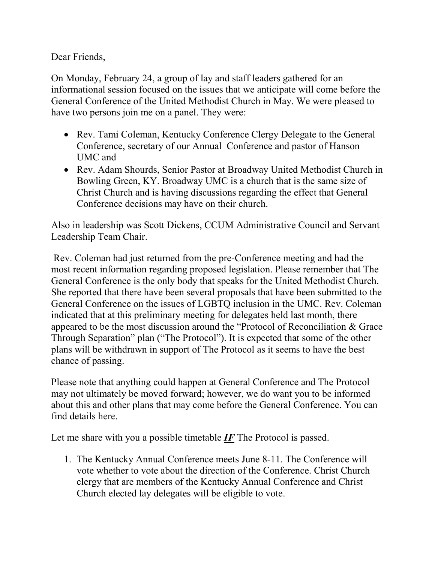Dear Friends,

On Monday, February 24, a group of lay and staff leaders gathered for an informational session focused on the issues that we anticipate will come before the General Conference of the United Methodist Church in May. We were pleased to have two persons join me on a panel. They were:

- Rev. Tami Coleman, Kentucky Conference Clergy Delegate to the General Conference, secretary of our Annual Conference and pastor of Hanson UMC and
- Rev. Adam Shourds, Senior Pastor at Broadway United Methodist Church in Bowling Green, KY. Broadway UMC is a church that is the same size of Christ Church and is having discussions regarding the effect that General Conference decisions may have on their church.

Also in leadership was Scott Dickens, CCUM Administrative Council and Servant Leadership Team Chair.

Rev. Coleman had just returned from the pre-Conference meeting and had the most recent information regarding proposed legislation. Please remember that The General Conference is the only body that speaks for the United Methodist Church. She reported that there have been several proposals that have been submitted to the General Conference on the issues of LGBTQ inclusion in the UMC. Rev. Coleman indicated that at this preliminary meeting for delegates held last month, there appeared to be the most discussion around the "Protocol of Reconciliation & Grace Through Separation" plan ("The Protocol"). It is expected that some of the other plans will be withdrawn in support of The Protocol as it seems to have the best chance of passing.

Please note that anything could happen at General Conference and The Protocol may not ultimately be moved forward; however, we do want you to be informed about this and other plans that may come before the General Conference. You can find details [here.](https://www.resourceumc.org/en/content/gc2020-proposed-plans)

Let me share with you a possible timetable *IF* The Protocol is passed.

1. The Kentucky Annual Conference meets June 8-11. The Conference will vote whether to vote about the direction of the Conference. Christ Church clergy that are members of the Kentucky Annual Conference and Christ Church elected lay delegates will be eligible to vote.